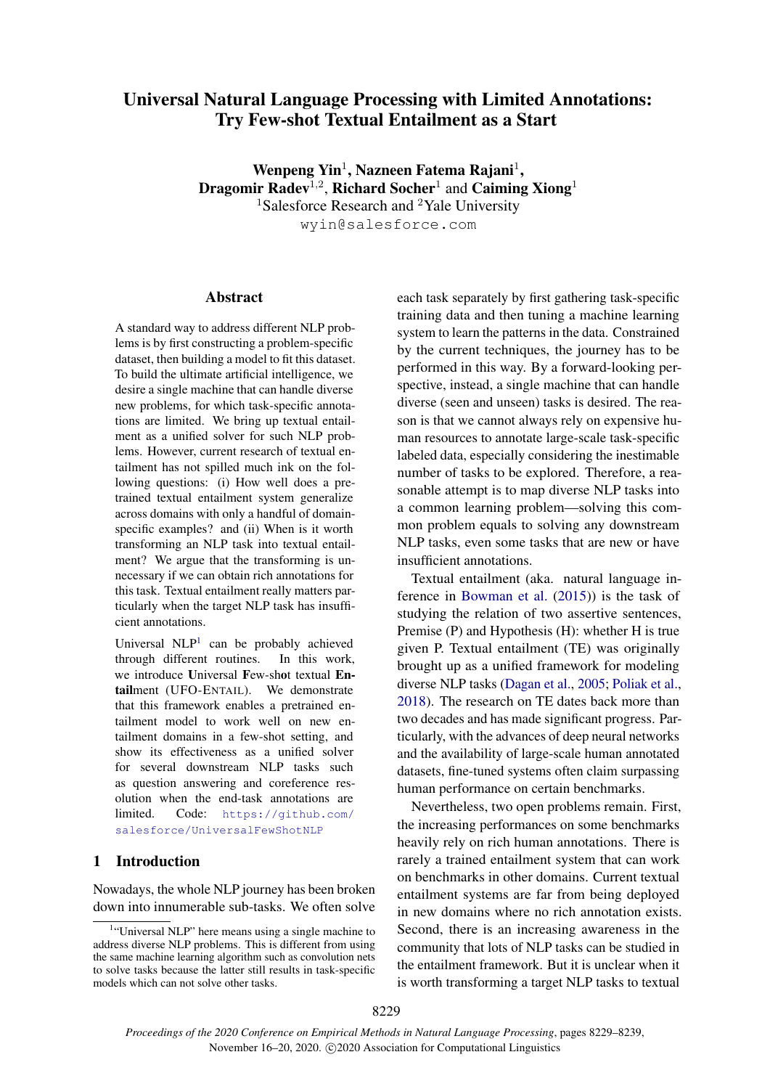# Universal Natural Language Processing with Limited Annotations: Try Few-shot Textual Entailment as a Start

Wenpeng Yin<sup>1</sup>, Nazneen Fatema Rajani<sup>1</sup>, Dragomir Radev<sup>1,2</sup>, Richard Socher<sup>1</sup> and Caiming Xiong<sup>1</sup> <sup>1</sup>Salesforce Research and <sup>2</sup>Yale University

wyin@salesforce.com

## Abstract

A standard way to address different NLP problems is by first constructing a problem-specific dataset, then building a model to fit this dataset. To build the ultimate artificial intelligence, we desire a single machine that can handle diverse new problems, for which task-specific annotations are limited. We bring up textual entailment as a unified solver for such NLP problems. However, current research of textual entailment has not spilled much ink on the following questions: (i) How well does a pretrained textual entailment system generalize across domains with only a handful of domainspecific examples? and (ii) When is it worth transforming an NLP task into textual entailment? We argue that the transforming is unnecessary if we can obtain rich annotations for this task. Textual entailment really matters particularly when the target NLP task has insufficient annotations.

Universal NLP<sup>[1](#page-0-0)</sup> can be probably achieved through different routines. In this work, we introduce Universal Few-shot textual Entailment (UFO-ENTAIL). We demonstrate that this framework enables a pretrained entailment model to work well on new entailment domains in a few-shot setting, and show its effectiveness as a unified solver for several downstream NLP tasks such as question answering and coreference resolution when the end-task annotations are limited. Code: [https://github.com/](https://github.com/salesforce/UniversalFewShotNLP) [salesforce/UniversalFewShotNLP](https://github.com/salesforce/UniversalFewShotNLP)

# 1 Introduction

Nowadays, the whole NLP journey has been broken down into innumerable sub-tasks. We often solve each task separately by first gathering task-specific training data and then tuning a machine learning system to learn the patterns in the data. Constrained by the current techniques, the journey has to be performed in this way. By a forward-looking perspective, instead, a single machine that can handle diverse (seen and unseen) tasks is desired. The reason is that we cannot always rely on expensive human resources to annotate large-scale task-specific labeled data, especially considering the inestimable number of tasks to be explored. Therefore, a reasonable attempt is to map diverse NLP tasks into a common learning problem—solving this common problem equals to solving any downstream NLP tasks, even some tasks that are new or have insufficient annotations.

Textual entailment (aka. natural language inference in [Bowman et al.](#page-9-0) [\(2015\)](#page-9-0)) is the task of studying the relation of two assertive sentences, Premise (P) and Hypothesis (H): whether H is true given P. Textual entailment (TE) was originally brought up as a unified framework for modeling diverse NLP tasks [\(Dagan et al.,](#page-9-1) [2005;](#page-9-1) [Poliak et al.,](#page-9-2) [2018\)](#page-9-2). The research on TE dates back more than two decades and has made significant progress. Particularly, with the advances of deep neural networks and the availability of large-scale human annotated datasets, fine-tuned systems often claim surpassing human performance on certain benchmarks.

Nevertheless, two open problems remain. First, the increasing performances on some benchmarks heavily rely on rich human annotations. There is rarely a trained entailment system that can work on benchmarks in other domains. Current textual entailment systems are far from being deployed in new domains where no rich annotation exists. Second, there is an increasing awareness in the community that lots of NLP tasks can be studied in the entailment framework. But it is unclear when it is worth transforming a target NLP tasks to textual

<span id="page-0-0"></span><sup>&</sup>lt;sup>1</sup>"Universal NLP" here means using a single machine to address diverse NLP problems. This is different from using the same machine learning algorithm such as convolution nets to solve tasks because the latter still results in task-specific models which can not solve other tasks.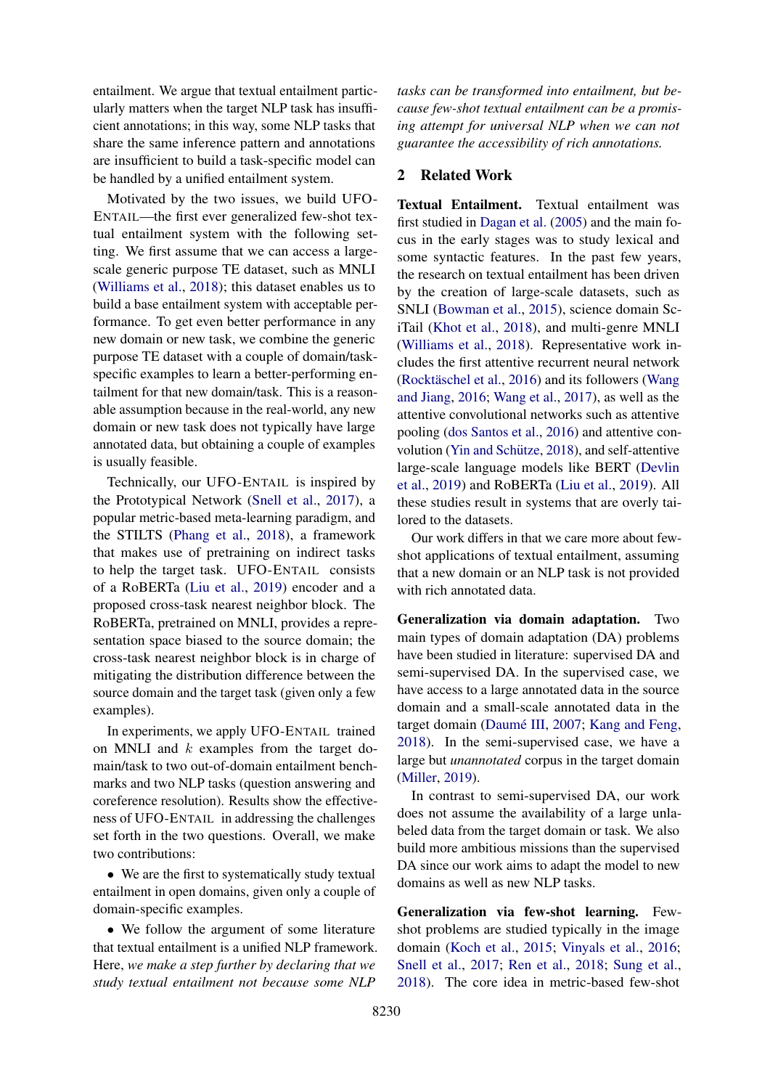entailment. We argue that textual entailment particularly matters when the target NLP task has insufficient annotations; in this way, some NLP tasks that share the same inference pattern and annotations are insufficient to build a task-specific model can be handled by a unified entailment system.

Motivated by the two issues, we build UFO-ENTAIL—the first ever generalized few-shot textual entailment system with the following setting. We first assume that we can access a largescale generic purpose TE dataset, such as MNLI [\(Williams et al.,](#page-10-0) [2018\)](#page-10-0); this dataset enables us to build a base entailment system with acceptable performance. To get even better performance in any new domain or new task, we combine the generic purpose TE dataset with a couple of domain/taskspecific examples to learn a better-performing entailment for that new domain/task. This is a reasonable assumption because in the real-world, any new domain or new task does not typically have large annotated data, but obtaining a couple of examples is usually feasible.

Technically, our UFO-ENTAIL is inspired by the Prototypical Network [\(Snell et al.,](#page-9-3) [2017\)](#page-9-3), a popular metric-based meta-learning paradigm, and the STILTS [\(Phang et al.,](#page-9-4) [2018\)](#page-9-4), a framework that makes use of pretraining on indirect tasks to help the target task. UFO-ENTAIL consists of a RoBERTa [\(Liu et al.,](#page-9-5) [2019\)](#page-9-5) encoder and a proposed cross-task nearest neighbor block. The RoBERTa, pretrained on MNLI, provides a representation space biased to the source domain; the cross-task nearest neighbor block is in charge of mitigating the distribution difference between the source domain and the target task (given only a few examples).

In experiments, we apply UFO-ENTAIL trained on MNLI and  $k$  examples from the target domain/task to two out-of-domain entailment benchmarks and two NLP tasks (question answering and coreference resolution). Results show the effectiveness of UFO-ENTAIL in addressing the challenges set forth in the two questions. Overall, we make two contributions:

• We are the first to systematically study textual entailment in open domains, given only a couple of domain-specific examples.

• We follow the argument of some literature that textual entailment is a unified NLP framework. Here, *we make a step further by declaring that we study textual entailment not because some NLP*

*tasks can be transformed into entailment, but because few-shot textual entailment can be a promising attempt for universal NLP when we can not guarantee the accessibility of rich annotations.*

## <span id="page-1-0"></span>2 Related Work

Textual Entailment. Textual entailment was first studied in [Dagan et al.](#page-9-1) [\(2005\)](#page-9-1) and the main focus in the early stages was to study lexical and some syntactic features. In the past few years, the research on textual entailment has been driven by the creation of large-scale datasets, such as SNLI [\(Bowman et al.,](#page-9-0) [2015\)](#page-9-0), science domain SciTail [\(Khot et al.,](#page-9-6) [2018\)](#page-9-6), and multi-genre MNLI [\(Williams et al.,](#page-10-0) [2018\)](#page-10-0). Representative work includes the first attentive recurrent neural network (Rocktäschel et al.,  $2016$ ) and its followers [\(Wang](#page-10-1) [and Jiang,](#page-10-1) [2016;](#page-10-1) [Wang et al.,](#page-10-2) [2017\)](#page-10-2), as well as the attentive convolutional networks such as attentive pooling [\(dos Santos et al.,](#page-9-8) [2016\)](#page-9-8) and attentive con-volution (Yin and Schütze, [2018\)](#page-10-3), and self-attentive large-scale language models like BERT [\(Devlin](#page-9-9) [et al.,](#page-9-9) [2019\)](#page-9-9) and RoBERTa [\(Liu et al.,](#page-9-5) [2019\)](#page-9-5). All these studies result in systems that are overly tailored to the datasets.

Our work differs in that we care more about fewshot applications of textual entailment, assuming that a new domain or an NLP task is not provided with rich annotated data.

Generalization via domain adaptation. Two main types of domain adaptation (DA) problems have been studied in literature: supervised DA and semi-supervised DA. In the supervised case, we have access to a large annotated data in the source domain and a small-scale annotated data in the target domain (Daumé III, [2007;](#page-9-10) [Kang and Feng,](#page-9-11) [2018\)](#page-9-11). In the semi-supervised case, we have a large but *unannotated* corpus in the target domain [\(Miller,](#page-9-12) [2019\)](#page-9-12).

In contrast to semi-supervised DA, our work does not assume the availability of a large unlabeled data from the target domain or task. We also build more ambitious missions than the supervised DA since our work aims to adapt the model to new domains as well as new NLP tasks.

Generalization via few-shot learning. Fewshot problems are studied typically in the image domain [\(Koch et al.,](#page-9-13) [2015;](#page-9-13) [Vinyals et al.,](#page-10-4) [2016;](#page-10-4) [Snell et al.,](#page-9-3) [2017;](#page-9-3) [Ren et al.,](#page-9-14) [2018;](#page-9-14) [Sung et al.,](#page-9-15) [2018\)](#page-9-15). The core idea in metric-based few-shot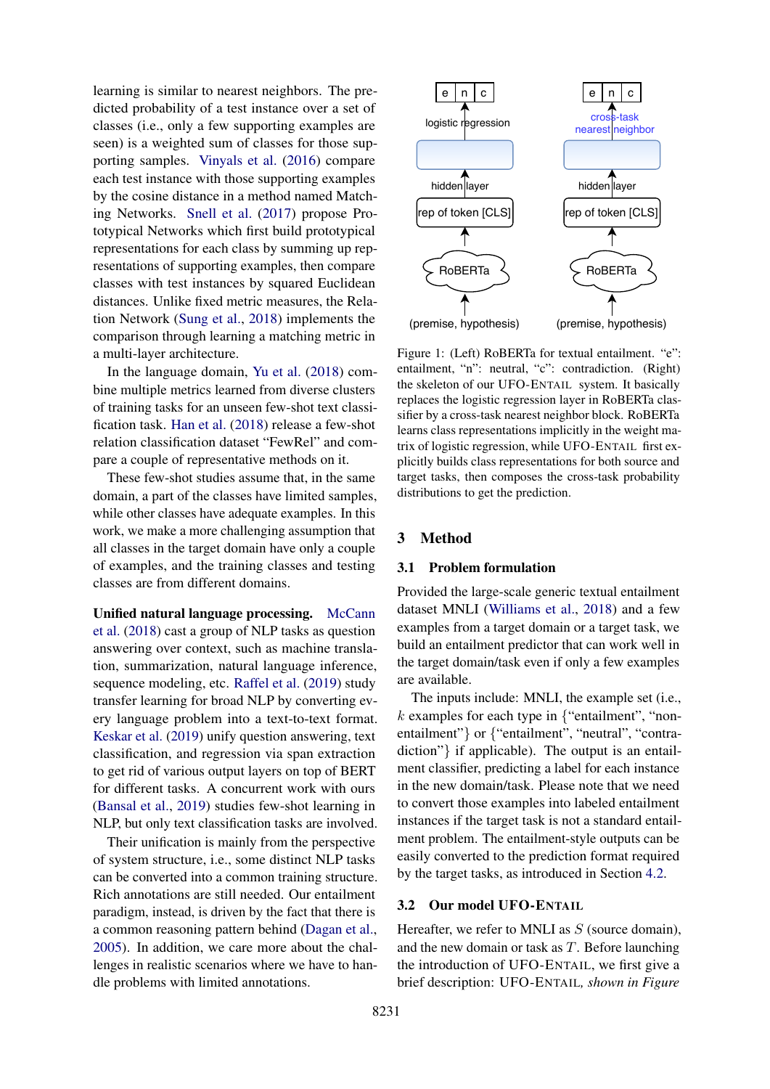learning is similar to nearest neighbors. The predicted probability of a test instance over a set of classes (i.e., only a few supporting examples are seen) is a weighted sum of classes for those supporting samples. [Vinyals et al.](#page-10-4) [\(2016\)](#page-10-4) compare each test instance with those supporting examples by the cosine distance in a method named Matching Networks. [Snell et al.](#page-9-3) [\(2017\)](#page-9-3) propose Prototypical Networks which first build prototypical representations for each class by summing up representations of supporting examples, then compare classes with test instances by squared Euclidean distances. Unlike fixed metric measures, the Relation Network [\(Sung et al.,](#page-9-15) [2018\)](#page-9-15) implements the comparison through learning a matching metric in a multi-layer architecture.

In the language domain, [Yu et al.](#page-10-5) [\(2018\)](#page-10-5) combine multiple metrics learned from diverse clusters of training tasks for an unseen few-shot text classification task. [Han et al.](#page-9-16) [\(2018\)](#page-9-16) release a few-shot relation classification dataset "FewRel" and compare a couple of representative methods on it.

These few-shot studies assume that, in the same domain, a part of the classes have limited samples, while other classes have adequate examples. In this work, we make a more challenging assumption that all classes in the target domain have only a couple of examples, and the training classes and testing classes are from different domains.

Unified natural language processing. [McCann](#page-9-17) [et al.](#page-9-17) [\(2018\)](#page-9-17) cast a group of NLP tasks as question answering over context, such as machine translation, summarization, natural language inference, sequence modeling, etc. [Raffel et al.](#page-9-18) [\(2019\)](#page-9-18) study transfer learning for broad NLP by converting every language problem into a text-to-text format. [Keskar et al.](#page-9-19) [\(2019\)](#page-9-19) unify question answering, text classification, and regression via span extraction to get rid of various output layers on top of BERT for different tasks. A concurrent work with ours [\(Bansal et al.,](#page-9-20) [2019\)](#page-9-20) studies few-shot learning in NLP, but only text classification tasks are involved.

Their unification is mainly from the perspective of system structure, i.e., some distinct NLP tasks can be converted into a common training structure. Rich annotations are still needed. Our entailment paradigm, instead, is driven by the fact that there is a common reasoning pattern behind [\(Dagan et al.,](#page-9-1) [2005\)](#page-9-1). In addition, we care more about the challenges in realistic scenarios where we have to handle problems with limited annotations.

<span id="page-2-0"></span>

Figure 1: (Left) RoBERTa for textual entailment. "e": entailment, "n": neutral, "c": contradiction. (Right) the skeleton of our UFO-ENTAIL system. It basically replaces the logistic regression layer in RoBERTa classifier by a cross-task nearest neighbor block. RoBERTa learns class representations implicitly in the weight matrix of logistic regression, while UFO-ENTAIL first explicitly builds class representations for both source and target tasks, then composes the cross-task probability distributions to get the prediction.

#### 3 Method

#### 3.1 Problem formulation

Provided the large-scale generic textual entailment dataset MNLI [\(Williams et al.,](#page-10-0) [2018\)](#page-10-0) and a few examples from a target domain or a target task, we build an entailment predictor that can work well in the target domain/task even if only a few examples are available.

The inputs include: MNLI, the example set (i.e.,  $k$  examples for each type in  $\{$ "entailment", "nonentailment"} or {"entailment", "neutral", "contradiction"} if applicable). The output is an entailment classifier, predicting a label for each instance in the new domain/task. Please note that we need to convert those examples into labeled entailment instances if the target task is not a standard entailment problem. The entailment-style outputs can be easily converted to the prediction format required by the target tasks, as introduced in Section [4.2.](#page-5-0)

## 3.2 Our model UFO-ENTAIL

Hereafter, we refer to MNLI as  $S$  (source domain), and the new domain or task as  $T$ . Before launching the introduction of UFO-ENTAIL, we first give a brief description: UFO-ENTAIL*, shown in Figure*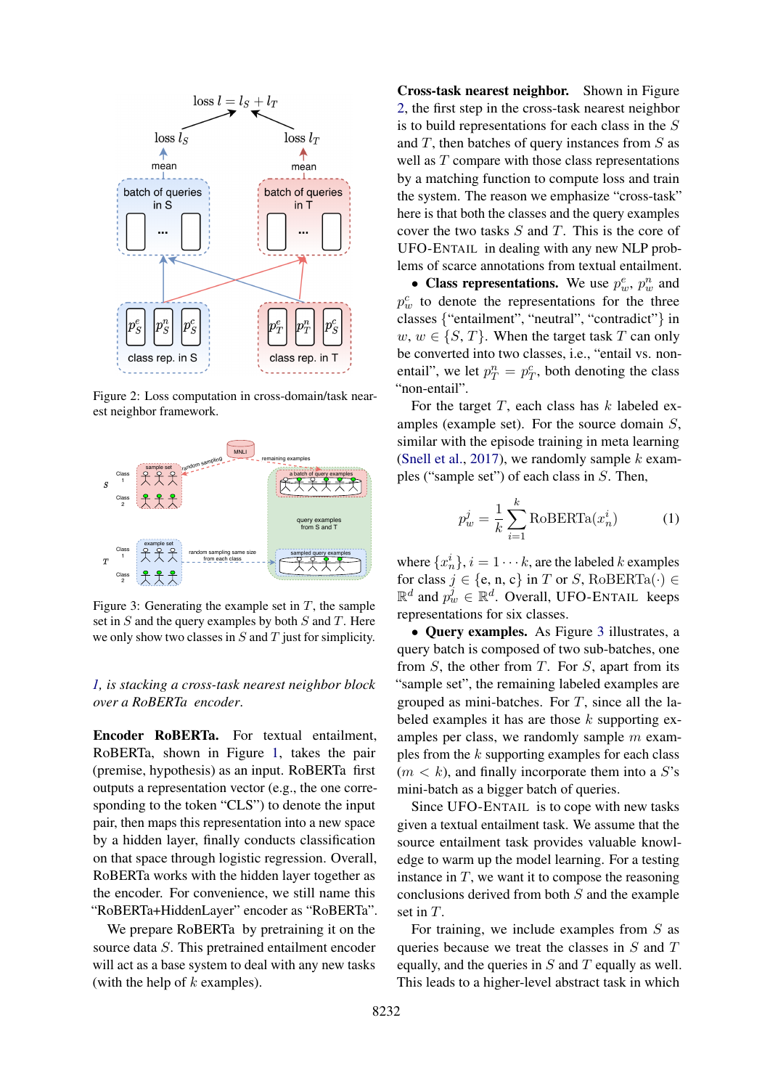<span id="page-3-0"></span>

Figure 2: Loss computation in cross-domain/task nearest neighbor framework.

<span id="page-3-1"></span>

Figure 3: Generating the example set in  $T$ , the sample set in  $S$  and the query examples by both  $S$  and  $T$ . Here we only show two classes in  $S$  and  $T$  just for simplicity.

## *[1,](#page-2-0) is stacking a cross-task nearest neighbor block over a RoBERTa encoder*.

Encoder RoBERTa. For textual entailment, RoBERTa, shown in Figure [1,](#page-2-0) takes the pair (premise, hypothesis) as an input. RoBERTa first outputs a representation vector (e.g., the one corresponding to the token "CLS") to denote the input pair, then maps this representation into a new space by a hidden layer, finally conducts classification on that space through logistic regression. Overall, RoBERTa works with the hidden layer together as the encoder. For convenience, we still name this "RoBERTa+HiddenLayer" encoder as "RoBERTa".

We prepare RoBERTa by pretraining it on the source data S. This pretrained entailment encoder will act as a base system to deal with any new tasks (with the help of  $k$  examples).

Cross-task nearest neighbor. Shown in Figure [2,](#page-3-0) the first step in the cross-task nearest neighbor is to build representations for each class in the S and  $T$ , then batches of query instances from  $S$  as well as  $T$  compare with those class representations by a matching function to compute loss and train the system. The reason we emphasize "cross-task" here is that both the classes and the query examples cover the two tasks  $S$  and  $T$ . This is the core of UFO-ENTAIL in dealing with any new NLP problems of scarce annotations from textual entailment.

• Class representations. We use  $p_w^e$ ,  $p_w^n$  and  $p_w^c$  to denote the representations for the three classes {"entailment", "neutral", "contradict"} in  $w, w \in \{S, T\}$ . When the target task T can only be converted into two classes, i.e., "entail vs. nonentail", we let  $p_T^n = p_T^c$ , both denoting the class "non-entail".

For the target  $T$ , each class has  $k$  labeled examples (example set). For the source domain S, similar with the episode training in meta learning [\(Snell et al.,](#page-9-3) [2017\)](#page-9-3), we randomly sample  $k$  examples ("sample set") of each class in S. Then,

$$
p_w^j = \frac{1}{k} \sum_{i=1}^k \text{RoBERTa}(x_n^i)
$$
 (1)

where  $\{x_n^i\}, i = 1 \cdots k$ , are the labeled k examples for class  $j \in \{e, n, c\}$  in T or S, RoBERTa( $\cdot$ )  $\in$  $\mathbb{R}^d$  and  $p_w^j \in \mathbb{R}^d$ . Overall, UFO-ENTAIL keeps representations for six classes.

• Query examples. As Figure [3](#page-3-1) illustrates, a query batch is composed of two sub-batches, one from  $S$ , the other from  $T$ . For  $S$ , apart from its "sample set", the remaining labeled examples are grouped as mini-batches. For  $T$ , since all the labeled examples it has are those  $k$  supporting examples per class, we randomly sample  $m$  examples from the  $k$  supporting examples for each class  $(m < k)$ , and finally incorporate them into a S's mini-batch as a bigger batch of queries.

Since UFO-ENTAIL is to cope with new tasks given a textual entailment task. We assume that the source entailment task provides valuable knowledge to warm up the model learning. For a testing instance in  $T$ , we want it to compose the reasoning conclusions derived from both S and the example set in T.

For training, we include examples from  $S$  as queries because we treat the classes in  $S$  and  $T$ equally, and the queries in  $S$  and  $T$  equally as well. This leads to a higher-level abstract task in which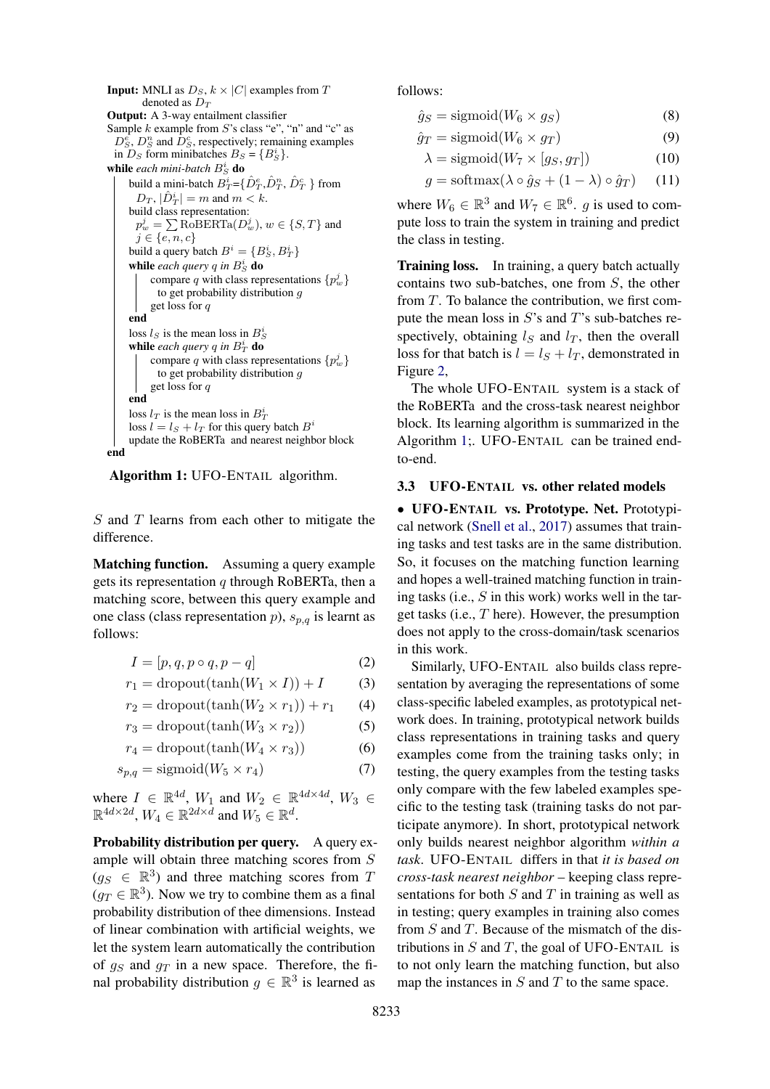**Input:** MNLI as  $D_S$ ,  $k \times |C|$  examples from T denoted as  $D_T$ Output: A 3-way entailment classifier Sample  $k$  example from  $S$ 's class "e", "n" and "c" as  $D_s^{\epsilon}$ ,  $D_s^n$  and  $D_s^{\epsilon}$ , respectively; remaining examples in  $D_S$  form minibatches  $B_S = \{B_S^i\}.$ while *each mini-batch*  $B_S^i$  do build a mini-batch  $\overline{B_T^i}$ ={ $\hat{D}_T^e$ , $\hat{D}_T^n$ ,  $\hat{D}_T^c$  } from  $D_T$ ,  $|\hat{D}_T^i| = m$  and  $m < k$ . build class representation:  $p_w^j = \sum \textrm{RoBERTa}(D_w^j), w \in \{S, T\}$  and  $j \in \{e, n, c\}$ build a query batch  $B^i = \{B_S^i, B_T^i\}$ while *each query*  $q$  in  $B_S^i$  do compare q with class representations  $\{p_w^j\}$ to get probability distribution g get loss for q end loss  $l_S$  is the mean loss in  $B_S^i$ while each query q in  $B_T^i$  do compare q with class representations  $\{p_w^j\}$ to get probability distribution g get loss for q end loss  $l_T$  is the mean loss in  $B_T^i$ loss  $l = l_s + l_T$  for this query batch  $B^i$ update the RoBERTa and nearest neighbor block end

<span id="page-4-0"></span>Algorithm 1: UFO-ENTAIL algorithm.

 $S$  and  $T$  learns from each other to mitigate the difference.

Matching function. Assuming a query example gets its representation  $q$  through RoBERTa, then a matching score, between this query example and one class (class representation  $p$ ),  $s_{p,q}$  is learnt as follows:

$$
I = [p, q, p \circ q, p - q]
$$
 (2)

$$
r_1 = \text{dropout}(\tanh(W_1 \times I)) + I \tag{3}
$$

$$
r_2 = \text{dropout}(\tanh(W_2 \times r_1)) + r_1 \qquad (4)
$$

$$
r_3 = \text{dropout}(\tanh(W_3 \times r_2))\tag{5}
$$

$$
r_4 = \text{dropout}(\tanh(W_4 \times r_3))\tag{6}
$$

$$
s_{p,q} = \text{sigmoid}(W_5 \times r_4) \tag{7}
$$

where  $I \in \mathbb{R}^{4d}$ ,  $W_1$  and  $W_2 \in \mathbb{R}^{4d \times 4d}$ ,  $W_3 \in$  $\mathbb{R}^{4d \times 2d}$ ,  $W_4 \in \mathbb{R}^{2d \times d}$  and  $W_5 \in \mathbb{R}^d$ .

Probability distribution per query. A query example will obtain three matching scores from S  $(g_S \in \mathbb{R}^3)$  and three matching scores from T  $(g_T \in \mathbb{R}^3)$ . Now we try to combine them as a final probability distribution of thee dimensions. Instead of linear combination with artificial weights, we let the system learn automatically the contribution of  $g_S$  and  $g_T$  in a new space. Therefore, the final probability distribution  $g \in \mathbb{R}^3$  is learned as

follows:

$$
\hat{g}_S = \text{sigmoid}(W_6 \times g_S) \tag{8}
$$

$$
\hat{g}_T = \text{sigmoid}(W_6 \times g_T) \tag{9}
$$

$$
\lambda = \text{sigmoid}(W_7 \times [g_S, g_T]) \tag{10}
$$

$$
g = \text{softmax}(\lambda \circ \hat{g}_S + (1 - \lambda) \circ \hat{g}_T) \tag{11}
$$

where  $W_6 \in \mathbb{R}^3$  and  $W_7 \in \mathbb{R}^6$ . g is used to compute loss to train the system in training and predict the class in testing.

Training loss. In training, a query batch actually contains two sub-batches, one from S, the other from T. To balance the contribution, we first compute the mean loss in  $S$ 's and  $T$ 's sub-batches respectively, obtaining  $l_s$  and  $l_t$ , then the overall loss for that batch is  $l = l_S + l_T$ , demonstrated in Figure [2,](#page-3-0)

The whole UFO-ENTAIL system is a stack of the RoBERTa and the cross-task nearest neighbor block. Its learning algorithm is summarized in the Algorithm [1;](#page-4-0). UFO-ENTAIL can be trained endto-end.

#### 3.3 UFO-ENTAIL vs. other related models

• UFO-ENTAIL vs. Prototype. Net. Prototypical network [\(Snell et al.,](#page-9-3) [2017\)](#page-9-3) assumes that training tasks and test tasks are in the same distribution. So, it focuses on the matching function learning and hopes a well-trained matching function in training tasks (i.e.,  $S$  in this work) works well in the target tasks (i.e., T here). However, the presumption does not apply to the cross-domain/task scenarios in this work.

Similarly, UFO-ENTAIL also builds class representation by averaging the representations of some class-specific labeled examples, as prototypical network does. In training, prototypical network builds class representations in training tasks and query examples come from the training tasks only; in testing, the query examples from the testing tasks only compare with the few labeled examples specific to the testing task (training tasks do not participate anymore). In short, prototypical network only builds nearest neighbor algorithm *within a task*. UFO-ENTAIL differs in that *it is based on cross-task nearest neighbor* – keeping class representations for both  $S$  and  $T$  in training as well as in testing; query examples in training also comes from  $S$  and  $T$ . Because of the mismatch of the distributions in  $S$  and  $T$ , the goal of UFO-ENTAIL is to not only learn the matching function, but also map the instances in  $S$  and  $T$  to the same space.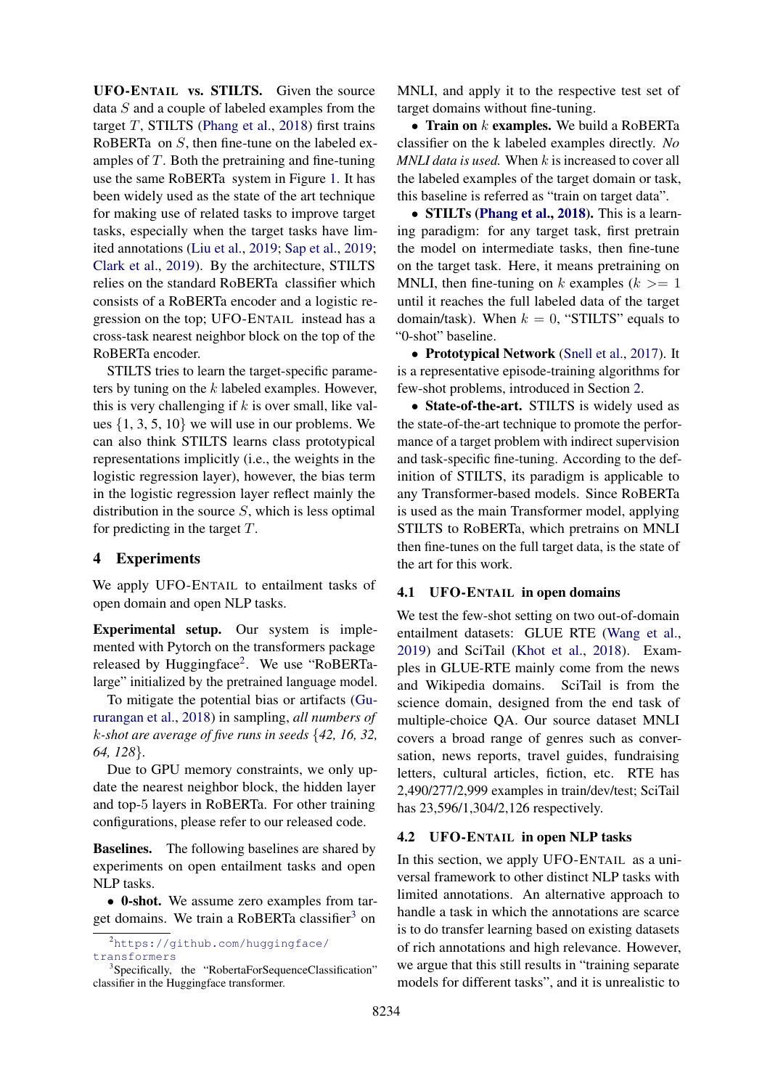UFO-ENTAIL vs. STILTS. Given the source data S and a couple of labeled examples from the target  $T$ , STILTS [\(Phang et al.,](#page-9-4) [2018\)](#page-9-4) first trains RoBERTa on S, then fine-tune on the labeled examples of  $T$ . Both the pretraining and fine-tuning use the same RoBERTa system in Figure [1.](#page-2-0) It has been widely used as the state of the art technique for making use of related tasks to improve target tasks, especially when the target tasks have limited annotations [\(Liu et al.,](#page-9-5) [2019;](#page-9-5) [Sap et al.,](#page-9-21) [2019;](#page-9-21) [Clark et al.,](#page-9-22) [2019\)](#page-9-22). By the architecture, STILTS relies on the standard RoBERTa classifier which consists of a RoBERTa encoder and a logistic regression on the top; UFO-ENTAIL instead has a cross-task nearest neighbor block on the top of the RoBERTa encoder.

STILTS tries to learn the target-specific parameters by tuning on the k labeled examples. However, this is very challenging if  $k$  is over small, like values  $\{1, 3, 5, 10\}$  we will use in our problems. We can also think STILTS learns class prototypical representations implicitly (i.e., the weights in the logistic regression layer), however, the bias term in the logistic regression layer reflect mainly the distribution in the source  $S$ , which is less optimal for predicting in the target  $T$ .

#### 4 Experiments

We apply UFO-ENTAIL to entailment tasks of open domain and open NLP tasks.

Experimental setup. Our system is implemented with Pytorch on the transformers package released by Huggingface<sup>[2](#page-5-1)</sup>. We use "RoBERTalarge" initialized by the pretrained language model.

To mitigate the potential bias or artifacts [\(Gu](#page-9-23)[rurangan et al.,](#page-9-23) [2018\)](#page-9-23) in sampling, *all numbers of* k*-shot are average of five runs in seeds* {*42, 16, 32, 64, 128*}*.*

Due to GPU memory constraints, we only update the nearest neighbor block, the hidden layer and top-5 layers in RoBERTa. For other training configurations, please refer to our released code.

**Baselines.** The following baselines are shared by experiments on open entailment tasks and open NLP tasks.

• 0-shot. We assume zero examples from tar-get domains. We train a RoBERTa classifier<sup>[3](#page-5-2)</sup> on

MNLI, and apply it to the respective test set of target domains without fine-tuning.

• Train on  $k$  examples. We build a RoBERTa classifier on the k labeled examples directly. *No MNLI data is used.* When k is increased to cover all the labeled examples of the target domain or task, this baseline is referred as "train on target data".

• STILTs [\(Phang et al.,](#page-9-4) [2018\)](#page-9-4). This is a learning paradigm: for any target task, first pretrain the model on intermediate tasks, then fine-tune on the target task. Here, it means pretraining on MNLI, then fine-tuning on k examples  $(k \geq 1$ until it reaches the full labeled data of the target domain/task). When  $k = 0$ , "STILTS" equals to "0-shot" baseline.

• Prototypical Network [\(Snell et al.,](#page-9-3) [2017\)](#page-9-3). It is a representative episode-training algorithms for few-shot problems, introduced in Section [2.](#page-1-0)

• State-of-the-art. STILTS is widely used as the state-of-the-art technique to promote the performance of a target problem with indirect supervision and task-specific fine-tuning. According to the definition of STILTS, its paradigm is applicable to any Transformer-based models. Since RoBERTa is used as the main Transformer model, applying STILTS to RoBERTa, which pretrains on MNLI then fine-tunes on the full target data, is the state of the art for this work.

## 4.1 UFO-ENTAIL in open domains

We test the few-shot setting on two out-of-domain entailment datasets: GLUE RTE [\(Wang et al.,](#page-10-6) [2019\)](#page-10-6) and SciTail [\(Khot et al.,](#page-9-6) [2018\)](#page-9-6). Examples in GLUE-RTE mainly come from the news and Wikipedia domains. SciTail is from the science domain, designed from the end task of multiple-choice QA. Our source dataset MNLI covers a broad range of genres such as conversation, news reports, travel guides, fundraising letters, cultural articles, fiction, etc. RTE has 2,490/277/2,999 examples in train/dev/test; SciTail has 23,596/1,304/2,126 respectively.

## <span id="page-5-0"></span>4.2 UFO-ENTAIL in open NLP tasks

In this section, we apply UFO-ENTAIL as a universal framework to other distinct NLP tasks with limited annotations. An alternative approach to handle a task in which the annotations are scarce is to do transfer learning based on existing datasets of rich annotations and high relevance. However, we argue that this still results in "training separate models for different tasks", and it is unrealistic to

<span id="page-5-1"></span><sup>2</sup>[https://github.com/huggingface/](https://github.com/huggingface/transformers) [transformers](https://github.com/huggingface/transformers)

<span id="page-5-2"></span><sup>&</sup>lt;sup>3</sup>Specifically, the "RobertaForSequenceClassification" classifier in the Huggingface transformer.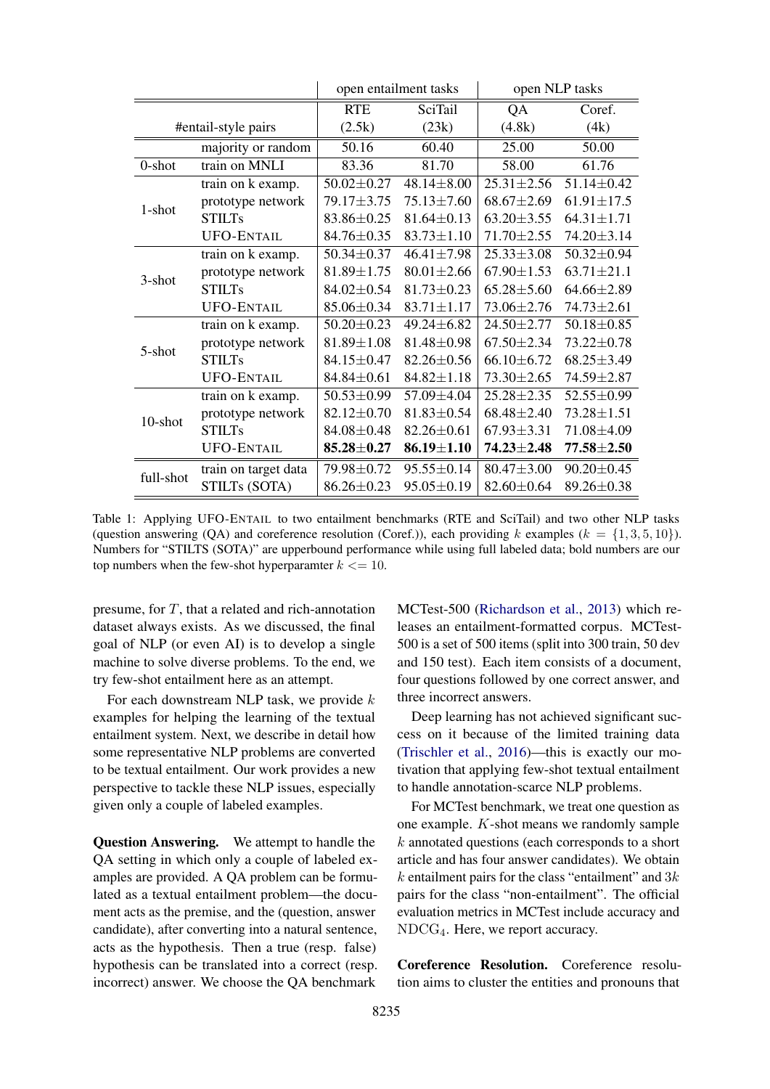<span id="page-6-0"></span>

|                     | open entailment tasks |                  |                  | open NLP tasks   |                  |
|---------------------|-----------------------|------------------|------------------|------------------|------------------|
|                     |                       | <b>RTE</b>       | SciTail          | QA               | Coref.           |
| #entail-style pairs |                       | (2.5k)           | (23k)            | (4.8k)           | (4k)             |
|                     | majority or random    | 50.16            | 60.40            | 25.00            | 50.00            |
| 0-shot              | train on MNLI         | 83.36            | 81.70            | 58.00            | 61.76            |
| 1-shot              | train on k examp.     | $50.02 \pm 0.27$ | $48.14 \pm 8.00$ | $25.31 \pm 2.56$ | $51.14 \pm 0.42$ |
|                     | prototype network     | 79.17±3.75       | 75.13±7.60       | $68.67 \pm 2.69$ | $61.91 \pm 17.5$ |
|                     | <b>STILTs</b>         | 83.86±0.25       | $81.64 \pm 0.13$ | $63.20 \pm 3.55$ | $64.31 \pm 1.71$ |
|                     | <b>UFO-ENTAIL</b>     | 84.76±0.35       | $83.73 \pm 1.10$ | $71.70 \pm 2.55$ | 74.20±3.14       |
| 3-shot              | train on k examp.     | 50.34±0.37       | $46.41 \pm 7.98$ | $25.33 \pm 3.08$ | 50.32±0.94       |
|                     | prototype network     | $81.89 \pm 1.75$ | $80.01 \pm 2.66$ | $67.90 \pm 1.53$ | $63.71 \pm 21.1$ |
|                     | <b>STILTs</b>         | 84.02±0.54       | $81.73 \pm 0.23$ | $65.28 \pm 5.60$ | $64.66 \pm 2.89$ |
|                     | <b>UFO-ENTAIL</b>     | 85.06±0.34       | $83.71 \pm 1.17$ | 73.06±2.76       | 74.73±2.61       |
| 5-shot              | train on k examp.     | $50.20 \pm 0.23$ | 49.24±6.82       | 24.50±2.77       | $50.18 \pm 0.85$ |
|                     | prototype network     | $81.89 \pm 1.08$ | $81.48 \pm 0.98$ | $67.50 \pm 2.34$ | 73.22±0.78       |
|                     | <b>STILTs</b>         | 84.15±0.47       | $82.26 \pm 0.56$ | $66.10 \pm 6.72$ | $68.25 \pm 3.49$ |
|                     | <b>UFO-ENTAIL</b>     | $84.84 \pm 0.61$ | $84.82 \pm 1.18$ | $73.30 \pm 2.65$ | 74.59±2.87       |
| 10-shot             | train on k examp.     | 50.53±0.99       | 57.09±4.04       | $25.28 \pm 2.35$ | 52.55±0.99       |
|                     | prototype network     | 82.12±0.70       | $81.83 \pm 0.54$ | $68.48 \pm 2.40$ | $73.28 \pm 1.51$ |
|                     | <b>STILTs</b>         | $84.08 \pm 0.48$ | $82.26 \pm 0.61$ | $67.93 \pm 3.31$ | 71.08±4.09       |
|                     | <b>UFO-ENTAIL</b>     | $85.28 \pm 0.27$ | $86.19 \pm 1.10$ | $74.23 \pm 2.48$ | $77.58 + 2.50$   |
| full-shot           | train on target data  | 79.98±0.72       | $95.55 \pm 0.14$ | $80.47 \pm 3.00$ | $90.20 \pm 0.45$ |
|                     | STILTs (SOTA)         | $86.26 \pm 0.23$ | $95.05 \pm 0.19$ | $82.60 \pm 0.64$ | 89.26±0.38       |

Table 1: Applying UFO-ENTAIL to two entailment benchmarks (RTE and SciTail) and two other NLP tasks (question answering (QA) and coreference resolution (Coref.)), each providing k examples ( $k = \{1, 3, 5, 10\}$ ). Numbers for "STILTS (SOTA)" are upperbound performance while using full labeled data; bold numbers are our top numbers when the few-shot hyperparamter  $k \leq 10$ .

presume, for  $T$ , that a related and rich-annotation dataset always exists. As we discussed, the final goal of NLP (or even AI) is to develop a single machine to solve diverse problems. To the end, we try few-shot entailment here as an attempt.

For each downstream NLP task, we provide  $k$ examples for helping the learning of the textual entailment system. Next, we describe in detail how some representative NLP problems are converted to be textual entailment. Our work provides a new perspective to tackle these NLP issues, especially given only a couple of labeled examples.

Question Answering. We attempt to handle the QA setting in which only a couple of labeled examples are provided. A QA problem can be formulated as a textual entailment problem—the document acts as the premise, and the (question, answer candidate), after converting into a natural sentence, acts as the hypothesis. Then a true (resp. false) hypothesis can be translated into a correct (resp. incorrect) answer. We choose the QA benchmark

MCTest-500 [\(Richardson et al.,](#page-9-24) [2013\)](#page-9-24) which releases an entailment-formatted corpus. MCTest-500 is a set of 500 items (split into 300 train, 50 dev and 150 test). Each item consists of a document, four questions followed by one correct answer, and three incorrect answers.

Deep learning has not achieved significant success on it because of the limited training data [\(Trischler et al.,](#page-9-25) [2016\)](#page-9-25)—this is exactly our motivation that applying few-shot textual entailment to handle annotation-scarce NLP problems.

For MCTest benchmark, we treat one question as one example. K-shot means we randomly sample  $k$  annotated questions (each corresponds to a short article and has four answer candidates). We obtain  $k$  entailment pairs for the class "entailment" and  $3k$ pairs for the class "non-entailment". The official evaluation metrics in MCTest include accuracy and NDCG4. Here, we report accuracy.

Coreference Resolution. Coreference resolution aims to cluster the entities and pronouns that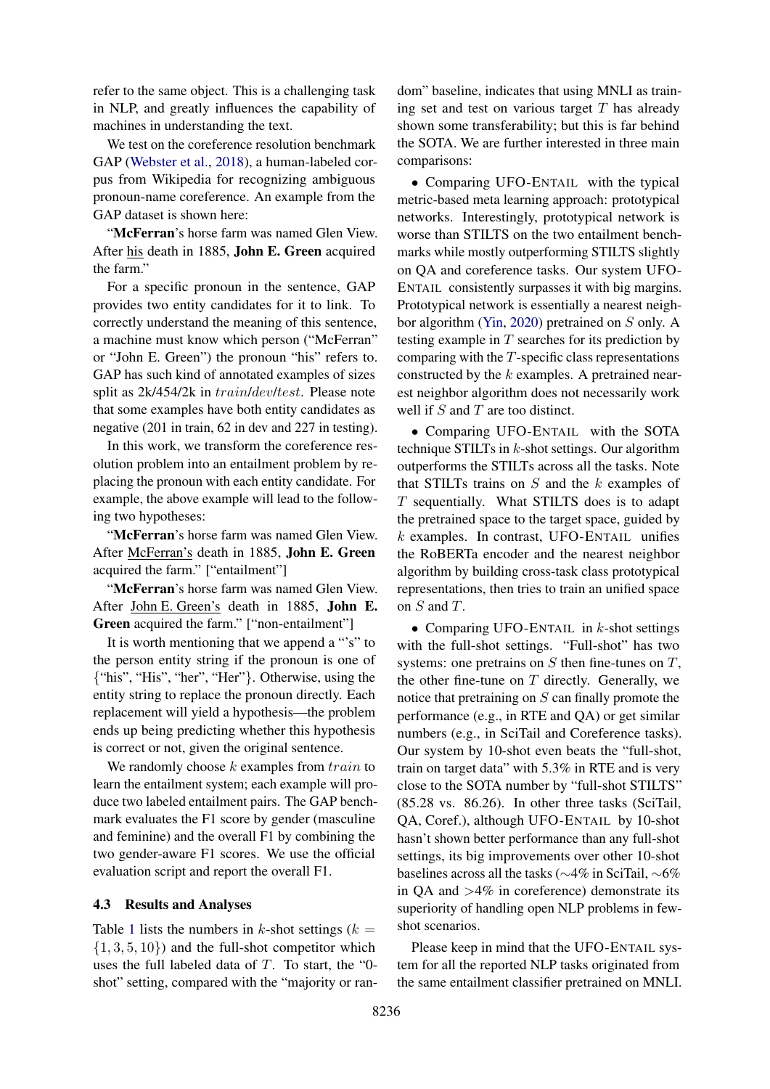refer to the same object. This is a challenging task in NLP, and greatly influences the capability of machines in understanding the text.

We test on the coreference resolution benchmark GAP [\(Webster et al.,](#page-10-7) [2018\)](#page-10-7), a human-labeled corpus from Wikipedia for recognizing ambiguous pronoun-name coreference. An example from the GAP dataset is shown here:

"McFerran's horse farm was named Glen View. After his death in 1885, John E. Green acquired the farm."

For a specific pronoun in the sentence, GAP provides two entity candidates for it to link. To correctly understand the meaning of this sentence, a machine must know which person ("McFerran" or "John E. Green") the pronoun "his" refers to. GAP has such kind of annotated examples of sizes split as 2k/454/2k in train/dev/test. Please note that some examples have both entity candidates as negative (201 in train, 62 in dev and 227 in testing).

In this work, we transform the coreference resolution problem into an entailment problem by replacing the pronoun with each entity candidate. For example, the above example will lead to the following two hypotheses:

"McFerran's horse farm was named Glen View. After McFerran's death in 1885, John E. Green acquired the farm." ["entailment"]

"McFerran's horse farm was named Glen View. After John E. Green's death in 1885, John E. Green acquired the farm." ["non-entailment"]

It is worth mentioning that we append a "'s" to the person entity string if the pronoun is one of {"his", "His", "her", "Her"}. Otherwise, using the entity string to replace the pronoun directly. Each replacement will yield a hypothesis—the problem ends up being predicting whether this hypothesis is correct or not, given the original sentence.

We randomly choose  $k$  examples from  $train$  to learn the entailment system; each example will produce two labeled entailment pairs. The GAP benchmark evaluates the F1 score by gender (masculine and feminine) and the overall F1 by combining the two gender-aware F1 scores. We use the official evaluation script and report the overall F1.

#### 4.3 Results and Analyses

Table [1](#page-6-0) lists the numbers in k-shot settings  $(k =$  $\{1, 3, 5, 10\}$  and the full-shot competitor which uses the full labeled data of  $T$ . To start, the "0shot" setting, compared with the "majority or ran-

dom" baseline, indicates that using MNLI as training set and test on various target  $T$  has already shown some transferability; but this is far behind the SOTA. We are further interested in three main comparisons:

• Comparing UFO-ENTAIL with the typical metric-based meta learning approach: prototypical networks. Interestingly, prototypical network is worse than STILTS on the two entailment benchmarks while mostly outperforming STILTS slightly on QA and coreference tasks. Our system UFO-ENTAIL consistently surpasses it with big margins. Prototypical network is essentially a nearest neighbor algorithm [\(Yin,](#page-10-8) [2020\)](#page-10-8) pretrained on S only. A testing example in  $T$  searches for its prediction by comparing with the  $T$ -specific class representations constructed by the k examples. A pretrained nearest neighbor algorithm does not necessarily work well if  $S$  and  $T$  are too distinct.

• Comparing UFO-ENTAIL with the SOTA technique STILTs in  $k$ -shot settings. Our algorithm outperforms the STILTs across all the tasks. Note that STILTs trains on  $S$  and the  $k$  examples of T sequentially. What STILTS does is to adapt the pretrained space to the target space, guided by  $k$  examples. In contrast, UFO-ENTAIL unifies the RoBERTa encoder and the nearest neighbor algorithm by building cross-task class prototypical representations, then tries to train an unified space on S and T.

• Comparing UFO-ENTAIL in  $k$ -shot settings with the full-shot settings. "Full-shot" has two systems: one pretrains on  $S$  then fine-tunes on  $T$ , the other fine-tune on  $T$  directly. Generally, we notice that pretraining on  $S$  can finally promote the performance (e.g., in RTE and QA) or get similar numbers (e.g., in SciTail and Coreference tasks). Our system by 10-shot even beats the "full-shot, train on target data" with 5.3% in RTE and is very close to the SOTA number by "full-shot STILTS" (85.28 vs. 86.26). In other three tasks (SciTail, QA, Coref.), although UFO-ENTAIL by 10-shot hasn't shown better performance than any full-shot settings, its big improvements over other 10-shot baselines across all the tasks (∼4% in SciTail, ∼6% in QA and  $>4\%$  in coreference) demonstrate its superiority of handling open NLP problems in fewshot scenarios.

Please keep in mind that the UFO-ENTAIL system for all the reported NLP tasks originated from the same entailment classifier pretrained on MNLI.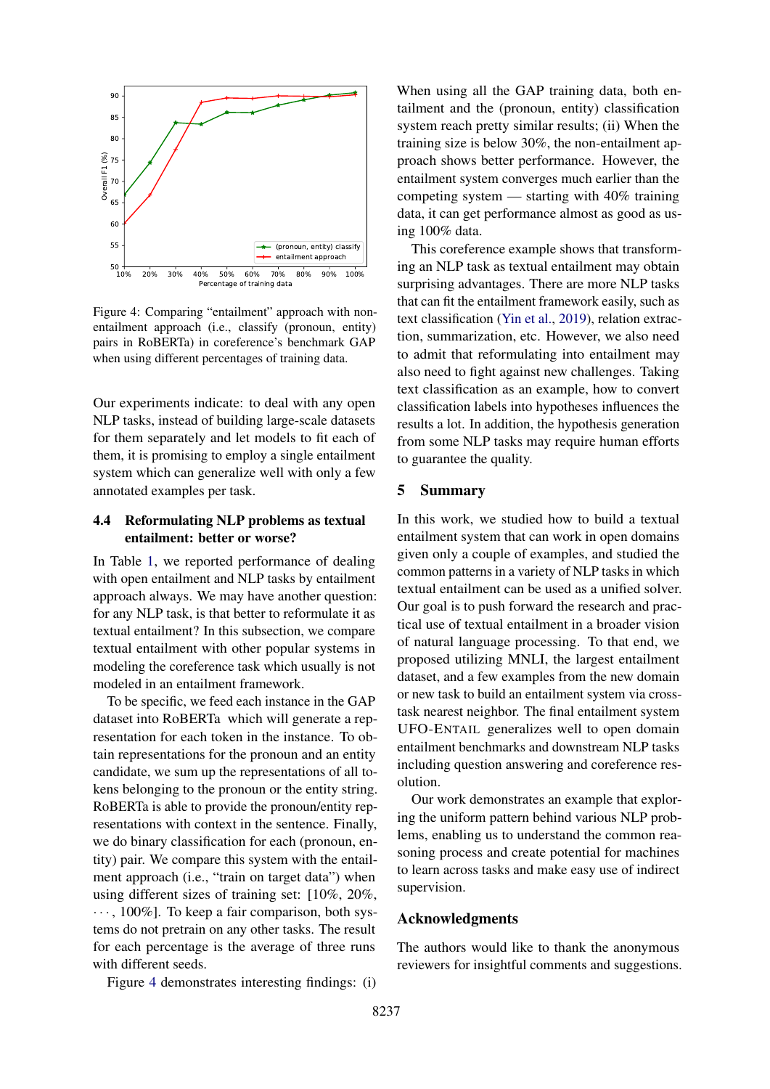<span id="page-8-0"></span>

Figure 4: Comparing "entailment" approach with nonentailment approach (i.e., classify (pronoun, entity) pairs in RoBERTa) in coreference's benchmark GAP when using different percentages of training data.

Our experiments indicate: to deal with any open NLP tasks, instead of building large-scale datasets for them separately and let models to fit each of them, it is promising to employ a single entailment system which can generalize well with only a few annotated examples per task.

# 4.4 Reformulating NLP problems as textual entailment: better or worse?

In Table [1,](#page-6-0) we reported performance of dealing with open entailment and NLP tasks by entailment approach always. We may have another question: for any NLP task, is that better to reformulate it as textual entailment? In this subsection, we compare textual entailment with other popular systems in modeling the coreference task which usually is not modeled in an entailment framework.

To be specific, we feed each instance in the GAP dataset into RoBERTa which will generate a representation for each token in the instance. To obtain representations for the pronoun and an entity candidate, we sum up the representations of all tokens belonging to the pronoun or the entity string. RoBERTa is able to provide the pronoun/entity representations with context in the sentence. Finally, we do binary classification for each (pronoun, entity) pair. We compare this system with the entailment approach (i.e., "train on target data") when using different sizes of training set: [10%, 20%,  $\cdots$ , 100%]. To keep a fair comparison, both systems do not pretrain on any other tasks. The result for each percentage is the average of three runs with different seeds.

Figure [4](#page-8-0) demonstrates interesting findings: (i)

When using all the GAP training data, both entailment and the (pronoun, entity) classification system reach pretty similar results; (ii) When the training size is below 30%, the non-entailment approach shows better performance. However, the entailment system converges much earlier than the competing system — starting with 40% training data, it can get performance almost as good as using 100% data.

This coreference example shows that transforming an NLP task as textual entailment may obtain surprising advantages. There are more NLP tasks that can fit the entailment framework easily, such as text classification [\(Yin et al.,](#page-10-9) [2019\)](#page-10-9), relation extraction, summarization, etc. However, we also need to admit that reformulating into entailment may also need to fight against new challenges. Taking text classification as an example, how to convert classification labels into hypotheses influences the results a lot. In addition, the hypothesis generation from some NLP tasks may require human efforts to guarantee the quality.

## 5 Summary

In this work, we studied how to build a textual entailment system that can work in open domains given only a couple of examples, and studied the common patterns in a variety of NLP tasks in which textual entailment can be used as a unified solver. Our goal is to push forward the research and practical use of textual entailment in a broader vision of natural language processing. To that end, we proposed utilizing MNLI, the largest entailment dataset, and a few examples from the new domain or new task to build an entailment system via crosstask nearest neighbor. The final entailment system UFO-ENTAIL generalizes well to open domain entailment benchmarks and downstream NLP tasks including question answering and coreference resolution.

Our work demonstrates an example that exploring the uniform pattern behind various NLP problems, enabling us to understand the common reasoning process and create potential for machines to learn across tasks and make easy use of indirect supervision.

#### Acknowledgments

The authors would like to thank the anonymous reviewers for insightful comments and suggestions.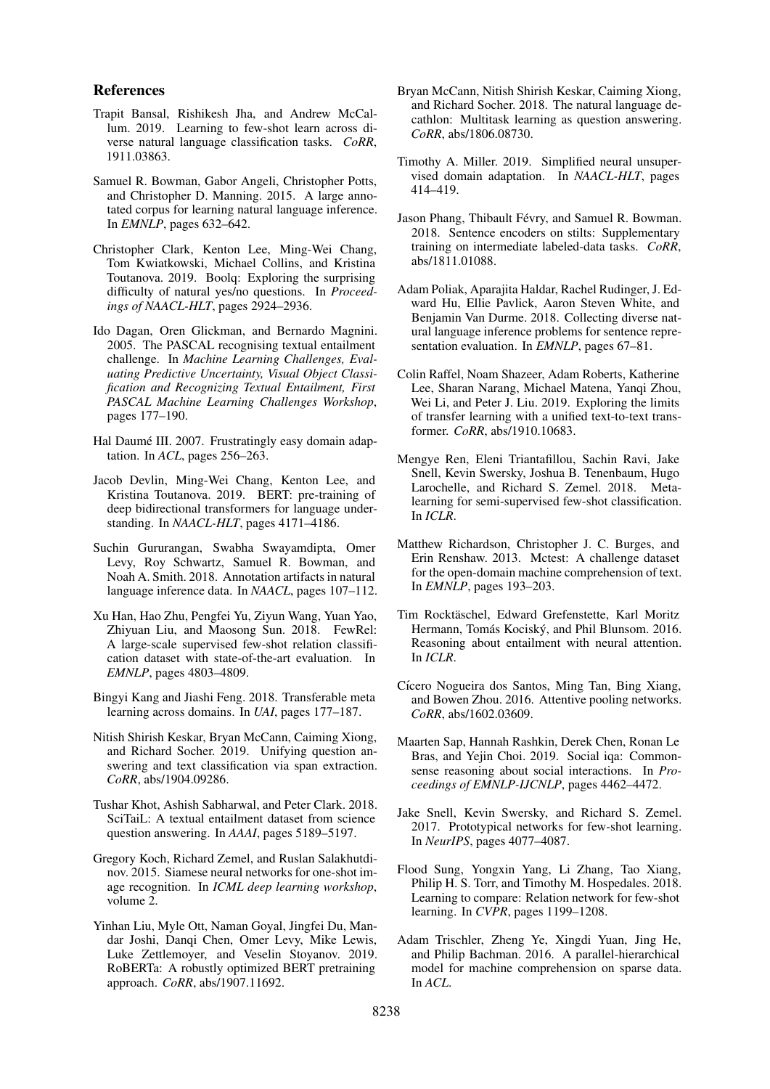#### References

- <span id="page-9-20"></span>Trapit Bansal, Rishikesh Jha, and Andrew McCallum. 2019. Learning to few-shot learn across diverse natural language classification tasks. *CoRR*, 1911.03863.
- <span id="page-9-0"></span>Samuel R. Bowman, Gabor Angeli, Christopher Potts, and Christopher D. Manning. 2015. A large annotated corpus for learning natural language inference. In *EMNLP*, pages 632–642.
- <span id="page-9-22"></span>Christopher Clark, Kenton Lee, Ming-Wei Chang, Tom Kwiatkowski, Michael Collins, and Kristina Toutanova. 2019. Boolq: Exploring the surprising difficulty of natural yes/no questions. In *Proceedings of NAACL-HLT*, pages 2924–2936.
- <span id="page-9-1"></span>Ido Dagan, Oren Glickman, and Bernardo Magnini. 2005. The PASCAL recognising textual entailment challenge. In *Machine Learning Challenges, Evaluating Predictive Uncertainty, Visual Object Classification and Recognizing Textual Entailment, First PASCAL Machine Learning Challenges Workshop*, pages 177–190.
- <span id="page-9-10"></span>Hal Daumé III. 2007. Frustratingly easy domain adaptation. In *ACL*, pages 256–263.
- <span id="page-9-9"></span>Jacob Devlin, Ming-Wei Chang, Kenton Lee, and Kristina Toutanova. 2019. BERT: pre-training of deep bidirectional transformers for language understanding. In *NAACL-HLT*, pages 4171–4186.
- <span id="page-9-23"></span>Suchin Gururangan, Swabha Swayamdipta, Omer Levy, Roy Schwartz, Samuel R. Bowman, and Noah A. Smith. 2018. Annotation artifacts in natural language inference data. In *NAACL*, pages 107–112.
- <span id="page-9-16"></span>Xu Han, Hao Zhu, Pengfei Yu, Ziyun Wang, Yuan Yao, Zhiyuan Liu, and Maosong Sun. 2018. FewRel: A large-scale supervised few-shot relation classification dataset with state-of-the-art evaluation. In *EMNLP*, pages 4803–4809.
- <span id="page-9-11"></span>Bingyi Kang and Jiashi Feng. 2018. Transferable meta learning across domains. In *UAI*, pages 177–187.
- <span id="page-9-19"></span>Nitish Shirish Keskar, Bryan McCann, Caiming Xiong, and Richard Socher. 2019. Unifying question answering and text classification via span extraction. *CoRR*, abs/1904.09286.
- <span id="page-9-6"></span>Tushar Khot, Ashish Sabharwal, and Peter Clark. 2018. SciTaiL: A textual entailment dataset from science question answering. In *AAAI*, pages 5189–5197.
- <span id="page-9-13"></span>Gregory Koch, Richard Zemel, and Ruslan Salakhutdinov. 2015. Siamese neural networks for one-shot image recognition. In *ICML deep learning workshop*, volume 2.
- <span id="page-9-5"></span>Yinhan Liu, Myle Ott, Naman Goyal, Jingfei Du, Mandar Joshi, Danqi Chen, Omer Levy, Mike Lewis, Luke Zettlemoyer, and Veselin Stoyanov. 2019. RoBERTa: A robustly optimized BERT pretraining approach. *CoRR*, abs/1907.11692.
- <span id="page-9-17"></span>Bryan McCann, Nitish Shirish Keskar, Caiming Xiong, and Richard Socher. 2018. The natural language decathlon: Multitask learning as question answering. *CoRR*, abs/1806.08730.
- <span id="page-9-12"></span>Timothy A. Miller. 2019. Simplified neural unsupervised domain adaptation. In *NAACL-HLT*, pages 414–419.
- <span id="page-9-4"></span>Jason Phang, Thibault Févry, and Samuel R. Bowman. 2018. Sentence encoders on stilts: Supplementary training on intermediate labeled-data tasks. *CoRR*, abs/1811.01088.
- <span id="page-9-2"></span>Adam Poliak, Aparajita Haldar, Rachel Rudinger, J. Edward Hu, Ellie Pavlick, Aaron Steven White, and Benjamin Van Durme. 2018. Collecting diverse natural language inference problems for sentence representation evaluation. In *EMNLP*, pages 67–81.
- <span id="page-9-18"></span>Colin Raffel, Noam Shazeer, Adam Roberts, Katherine Lee, Sharan Narang, Michael Matena, Yanqi Zhou, Wei Li, and Peter J. Liu. 2019. Exploring the limits of transfer learning with a unified text-to-text transformer. *CoRR*, abs/1910.10683.
- <span id="page-9-14"></span>Mengye Ren, Eleni Triantafillou, Sachin Ravi, Jake Snell, Kevin Swersky, Joshua B. Tenenbaum, Hugo Larochelle, and Richard S. Zemel. 2018. Metalearning for semi-supervised few-shot classification. In *ICLR*.
- <span id="page-9-24"></span>Matthew Richardson, Christopher J. C. Burges, and Erin Renshaw. 2013. Mctest: A challenge dataset for the open-domain machine comprehension of text. In *EMNLP*, pages 193–203.
- <span id="page-9-7"></span>Tim Rocktäschel, Edward Grefenstette, Karl Moritz Hermann, Tomás Kociský, and Phil Blunsom. 2016. Reasoning about entailment with neural attention. In *ICLR*.
- <span id="page-9-8"></span>Cícero Nogueira dos Santos, Ming Tan, Bing Xiang, and Bowen Zhou. 2016. Attentive pooling networks. *CoRR*, abs/1602.03609.
- <span id="page-9-21"></span>Maarten Sap, Hannah Rashkin, Derek Chen, Ronan Le Bras, and Yejin Choi. 2019. Social iqa: Commonsense reasoning about social interactions. In *Proceedings of EMNLP-IJCNLP*, pages 4462–4472.
- <span id="page-9-3"></span>Jake Snell, Kevin Swersky, and Richard S. Zemel. 2017. Prototypical networks for few-shot learning. In *NeurIPS*, pages 4077–4087.
- <span id="page-9-15"></span>Flood Sung, Yongxin Yang, Li Zhang, Tao Xiang, Philip H. S. Torr, and Timothy M. Hospedales. 2018. Learning to compare: Relation network for few-shot learning. In *CVPR*, pages 1199–1208.
- <span id="page-9-25"></span>Adam Trischler, Zheng Ye, Xingdi Yuan, Jing He, and Philip Bachman. 2016. A parallel-hierarchical model for machine comprehension on sparse data. In *ACL*.